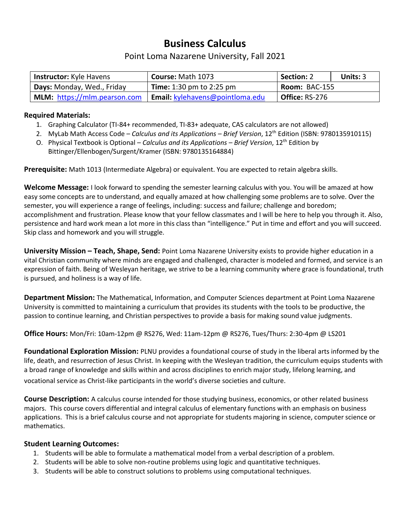## **Business Calculus**

### Point Loma Nazarene University, Fall 2021

| <b>Instructor:</b> Kyle Havens | Course: Math 1073               | Section: 2<br>Units: 3 |  |
|--------------------------------|---------------------------------|------------------------|--|
| Days: Monday, Wed., Friday     | <b>Time:</b> 1:30 pm to 2:25 pm | Room: BAC-155          |  |
| MLM: https://mlm.pearson.com   | Email: kylehavens@pointloma.edu | Office: RS-276         |  |

#### **Required Materials:**

- 1. Graphing Calculator (TI-84+ recommended, TI-83+ adequate, CAS calculators are not allowed)
- 2. MyLab Math Access Code *Calculus and its Applications – Brief Version*, 12th Edition (ISBN: 9780135910115)
- O. Physical Textbook is Optional *Calculus and its Applications – Brief Version*, 12th Edition by Bittinger/Ellenbogen/Surgent/Kramer (ISBN: 9780135164884)

**Prerequisite:** Math 1013 (Intermediate Algebra) or equivalent. You are expected to retain algebra skills.

**Welcome Message:** I look forward to spending the semester learning calculus with you. You will be amazed at how easy some concepts are to understand, and equally amazed at how challenging some problems are to solve. Over the semester, you will experience a range of feelings, including: success and failure; challenge and boredom; accomplishment and frustration. Please know that your fellow classmates and I will be here to help you through it. Also, persistence and hard work mean a lot more in this class than "intelligence." Put in time and effort and you will succeed. Skip class and homework and you will struggle.

**University Mission – Teach, Shape, Send:** Point Loma Nazarene University exists to provide higher education in a vital Christian community where minds are engaged and challenged, character is modeled and formed, and service is an expression of faith. Being of Wesleyan heritage, we strive to be a learning community where grace is foundational, truth is pursued, and holiness is a way of life.

**Department Mission:** The Mathematical, Information, and Computer Sciences department at Point Loma Nazarene University is committed to maintaining a curriculum that provides its students with the tools to be productive, the passion to continue learning, and Christian perspectives to provide a basis for making sound value judgments.

**Office Hours:** Mon/Fri: 10am-12pm @ RS276, Wed: 11am-12pm @ RS276, Tues/Thurs: 2:30-4pm @ LS201

**Foundational Exploration Mission:** PLNU provides a foundational course of study in the liberal arts informed by the life, death, and resurrection of Jesus Christ. In keeping with the Wesleyan tradition, the curriculum equips students with a broad range of knowledge and skills within and across disciplines to enrich major study, lifelong learning, and vocational service as Christ-like participants in the world's diverse societies and culture.

**Course Description:** A calculus course intended for those studying business, economics, or other related business majors. This course covers differential and integral calculus of elementary functions with an emphasis on business applications. This is a brief calculus course and not appropriate for students majoring in science, computer science or mathematics.

#### **Student Learning Outcomes:**

- 1. Students will be able to formulate a mathematical model from a verbal description of a problem.
- 2. Students will be able to solve non-routine problems using logic and quantitative techniques.
- 3. Students will be able to construct solutions to problems using computational techniques.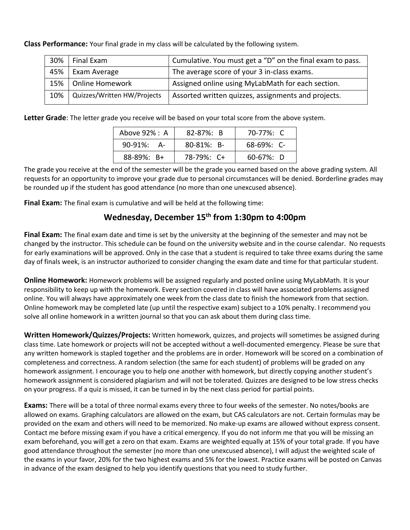**Class Performance:** Your final grade in my class will be calculated by the following system.

| 30% | Final Exam                  | Cumulative. You must get a "D" on the final exam to pass. |  |
|-----|-----------------------------|-----------------------------------------------------------|--|
| 45% | Exam Average                | The average score of your 3 in-class exams.               |  |
| 15% | Online Homework             | Assigned online using MyLabMath for each section.         |  |
| 10% | Quizzes/Written HW/Projects | Assorted written quizzes, assignments and projects.       |  |

**Letter Grade**: The letter grade you receive will be based on your total score from the above system.

| Above 92% : A      | $82 - 87\%$ : B  | 70-77%: C       |
|--------------------|------------------|-----------------|
| $90-91\%$<br>- A – | $80 - 81\%$ : B- | $68-69\%$ : C-  |
| $88 - 89\%$ : B+   | 78-79%: C+       | $60 - 67\%$ : D |

The grade you receive at the end of the semester will be the grade you earned based on the above grading system. All requests for an opportunity to improve your grade due to personal circumstances will be denied. Borderline grades may be rounded up if the student has good attendance (no more than one unexcused absence).

**Final Exam:** The final exam is cumulative and will be held at the following time:

## **Wednesday, December 15th from 1:30pm to 4:00pm**

**Final Exam:** The final exam date and time is set by the university at the beginning of the semester and may not be changed by the instructor. This schedule can be found on the university website and in the course calendar. No requests for early examinations will be approved. Only in the case that a student is required to take three exams during the same day of finals week, is an instructor authorized to consider changing the exam date and time for that particular student.

**Online Homework:** Homework problems will be assigned regularly and posted online using MyLabMath. It is your responsibility to keep up with the homework. Every section covered in class will have associated problems assigned online. You will always have approximately one week from the class date to finish the homework from that section. Online homework may be completed late (up until the respective exam) subject to a 10% penalty. I recommend you solve all online homework in a written journal so that you can ask about them during class time.

**Written Homework/Quizzes/Projects:** Written homework, quizzes, and projects will sometimes be assigned during class time. Late homework or projects will not be accepted without a well-documented emergency. Please be sure that any written homework is stapled together and the problems are in order. Homework will be scored on a combination of completeness and correctness. A random selection (the same for each student) of problems will be graded on any homework assignment. I encourage you to help one another with homework, but directly copying another student's homework assignment is considered plagiarism and will not be tolerated. Quizzes are designed to be low stress checks on your progress. If a quiz is missed, it can be turned in by the next class period for partial points.

**Exams:** There will be a total of three normal exams every three to four weeks of the semester. No notes/books are allowed on exams. Graphing calculators are allowed on the exam, but CAS calculators are not. Certain formulas may be provided on the exam and others will need to be memorized. No make-up exams are allowed without express consent. Contact me before missing exam if you have a critical emergency. If you do not inform me that you will be missing an exam beforehand, you will get a zero on that exam. Exams are weighted equally at 15% of your total grade. If you have good attendance throughout the semester (no more than one unexcused absence), I will adjust the weighted scale of the exams in your favor, 20% for the two highest exams and 5% for the lowest. Practice exams will be posted on Canvas in advance of the exam designed to help you identify questions that you need to study further.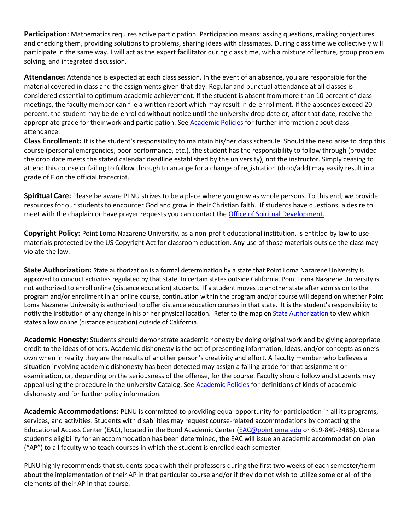**Participation**: Mathematics requires active participation. Participation means: asking questions, making conjectures and checking them, providing solutions to problems, sharing ideas with classmates. During class time we collectively will participate in the same way. I will act as the expert facilitator during class time, with a mixture of lecture, group problem solving, and integrated discussion.

**Attendance:** Attendance is expected at each class session. In the event of an absence, you are responsible for the material covered in class and the assignments given that day. Regular and punctual attendance at all classes is considered essential to optimum academic achievement. If the student is absent from more than 10 percent of class meetings, the faculty member can file a written report which may result in de-enrollment. If the absences exceed 20 percent, the student may be de-enrolled without notice until the university drop date or, after that date, receive the appropriate grade for their work and participation. See [Academic Policies](http://catalog.pointloma.edu/content.php?catoid=18&navoid=1278) for further information about class attendance.

**Class Enrollment:** It is the student's responsibility to maintain his/her class schedule. Should the need arise to drop this course (personal emergencies, poor performance, etc.), the student has the responsibility to follow through (provided the drop date meets the stated calendar deadline established by the university), not the instructor. Simply ceasing to attend this course or failing to follow through to arrange for a change of registration (drop/add) may easily result in a grade of F on the official transcript.

**Spiritual Care:** Please be aware PLNU strives to be a place where you grow as whole persons. To this end, we provide resources for our students to encounter God and grow in their Christian faith. If students have questions, a desire to meet with the chaplain or have prayer requests you can contact the [Office of Spiritual Development.](https://www.pointloma.edu/offices/spiritual-development)

**Copyright Policy:** Point Loma Nazarene University, as a non-profit educational institution, is entitled by law to use materials protected by the US Copyright Act for classroom education. Any use of those materials outside the class may violate the law.

**State Authorization:** State authorization is a formal determination by a state that Point Loma Nazarene University is approved to conduct activities regulated by that state. In certain states outside California, Point Loma Nazarene University is not authorized to enroll online (distance education) students. If a student moves to another state after admission to the program and/or enrollment in an online course, continuation within the program and/or course will depend on whether Point Loma Nazarene University is authorized to offer distance education courses in that state. It is the student's responsibility to notify the institution of any change in his or her physical location. Refer to the map on [State Authorization](https://www.pointloma.edu/offices/office-institutional-effectiveness-research/disclosures) to view which states allow online (distance education) outside of California.

**Academic Honesty:** Students should demonstrate academic honesty by doing original work and by giving appropriate credit to the ideas of others. Academic dishonesty is the act of presenting information, ideas, and/or concepts as one's own when in reality they are the results of another person's creativity and effort. A faculty member who believes a situation involving academic dishonesty has been detected may assign a failing grade for that assignment or examination, or, depending on the seriousness of the offense, for the course. Faculty should follow and students may appeal using the procedure in the university Catalog. See [Academic Policies](http://catalog.pointloma.edu/content.php?catoid=18&navoid=1278) for definitions of kinds of academic dishonesty and for further policy information.

**Academic Accommodations:** PLNU is committed to providing equal opportunity for participation in all its programs, services, and activities. Students with disabilities may request course-related accommodations by contacting the Educational Access Center (EAC), located in the Bond Academic Center [\(EAC@pointloma.edu](mailto:EAC@pointloma.edu) or 619-849-2486). Once a student's eligibility for an accommodation has been determined, the EAC will issue an academic accommodation plan ("AP") to all faculty who teach courses in which the student is enrolled each semester.

PLNU highly recommends that students speak with their professors during the first two weeks of each semester/term about the implementation of their AP in that particular course and/or if they do not wish to utilize some or all of the elements of their AP in that course.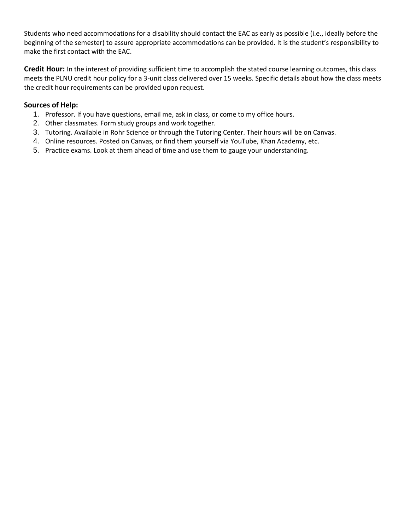Students who need accommodations for a disability should contact the EAC as early as possible (i.e., ideally before the beginning of the semester) to assure appropriate accommodations can be provided. It is the student's responsibility to make the first contact with the EAC.

**Credit Hour:** In the interest of providing sufficient time to accomplish the stated course learning outcomes, this class meets the PLNU credit hour policy for a 3-unit class delivered over 15 weeks. Specific details about how the class meets the credit hour requirements can be provided upon request.

#### **Sources of Help:**

- 1. Professor. If you have questions, email me, ask in class, or come to my office hours.
- 2. Other classmates. Form study groups and work together.
- 3. Tutoring. Available in Rohr Science or through the Tutoring Center. Their hours will be on Canvas.
- 4. Online resources. Posted on Canvas, or find them yourself via YouTube, Khan Academy, etc.
- 5. Practice exams. Look at them ahead of time and use them to gauge your understanding.